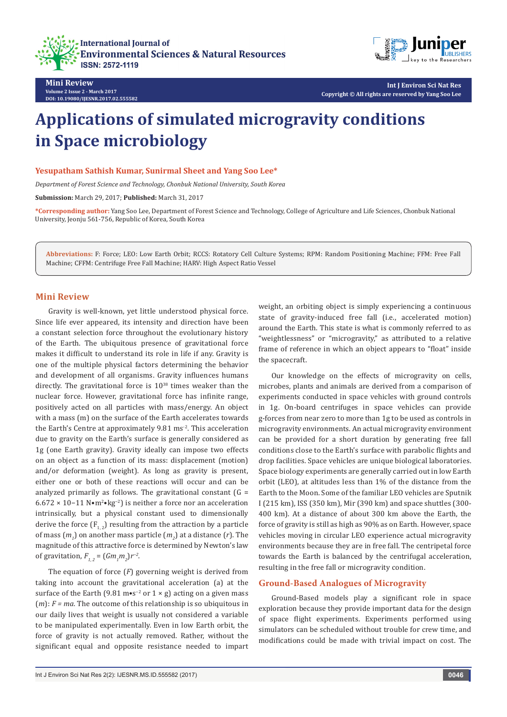



**Int J Environ Sci Nat Res Copyright © All rights are reserved by Yang Soo Lee**

# **Applications of simulated microgravity conditions in Space microbiology**

**Yesupatham Sathish Kumar, Sunirmal Sheet and Yang Soo Lee\***

*Department of Forest Science and Technology, Chonbuk National University, South Korea*

**Submission:** March 29, 2017; **Published:** March 31, 2017

**\*Corresponding author:** Yang Soo Lee, Department of Forest Science and Technology, College of Agriculture and Life Sciences, Chonbuk National University, Jeonju 561-756, Republic of Korea, South Korea

**Abbreviations:** F: Force; LEO: Low Earth Orbit; RCCS: Rotatory Cell Culture Systems; RPM: Random Positioning Machine; FFM: Free Fall Machine; CFFM: Centrifuge Free Fall Machine; HARV: High Aspect Ratio Vessel

#### **Mini Review**

Gravity is well-known, yet little understood physical force. Since life ever appeared, its intensity and direction have been a constant selection force throughout the evolutionary history of the Earth. The ubiquitous presence of gravitational force makes it difficult to understand its role in life if any. Gravity is one of the multiple physical factors determining the behavior and development of all organisms. Gravity influences humans directly. The gravitational force is  $10^{38}$  times weaker than the nuclear force. However, gravitational force has infinite range, positively acted on all particles with mass/energy. An object with a mass (m) on the surface of the Earth accelerates towards the Earth's Centre at approximately 9.81 ms-2. This acceleration due to gravity on the Earth's surface is generally considered as 1g (one Earth gravity). Gravity ideally can impose two effects on an object as a function of its mass: displacement (motion) and/or deformation (weight). As long as gravity is present, either one or both of these reactions will occur and can be analyzed primarily as follows. The gravitational constant  $(G =$ 6.672 × 10−11 N•m<sup>2</sup> •kg−2) is neither a force nor an acceleration intrinsically, but a physical constant used to dimensionally derive the force  $(F_1, F_2)$  resulting from the attraction by a particle of mass  $(m<sub>1</sub>)$  on another mass particle  $(m<sub>2</sub>)$  at a distance  $(r)$ . The magnitude of this attractive force is determined by Newton's law of gravitation,  $F_{1,2} = (Gm_1m_2)r^{-2}$ .

The equation of force (*F*) governing weight is derived from taking into account the gravitational acceleration (a) at the surface of the Earth (9.81 m•s<sup>-2</sup> or 1 × g) acting on a given mass (*m*): *F = ma*. The outcome of this relationship is so ubiquitous in our daily lives that weight is usually not considered a variable to be manipulated experimentally. Even in low Earth orbit, the force of gravity is not actually removed. Rather, without the significant equal and opposite resistance needed to impart weight, an orbiting object is simply experiencing a continuous state of gravity-induced free fall (i.e., accelerated motion) around the Earth. This state is what is commonly referred to as "weightlessness" or "microgravity," as attributed to a relative frame of reference in which an object appears to "float" inside the spacecraft.

Our knowledge on the effects of microgravity on cells, microbes, plants and animals are derived from a comparison of experiments conducted in space vehicles with ground controls in 1g. On-board centrifuges in space vehicles can provide g-forces from near zero to more than 1g to be used as controls in microgravity environments. An actual microgravity environment can be provided for a short duration by generating free fall conditions close to the Earth's surface with parabolic flights and drop facilities. Space vehicles are unique biological laboratories. Space biology experiments are generally carried out in low Earth orbit (LEO), at altitudes less than 1% of the distance from the Earth to the Moon. Some of the familiar LEO vehicles are Sputnik I (215 km), ISS (350 km), Mir (390 km) and space shuttles (300- 400 km). At a distance of about 300 km above the Earth, the force of gravity is still as high as 90% as on Earth. However, space vehicles moving in circular LEO experience actual microgravity environments because they are in free fall. The centripetal force towards the Earth is balanced by the centrifugal acceleration, resulting in the free fall or microgravity condition.

## **Ground-Based Analogues of Microgravity**

Ground-Based models play a significant role in space exploration because they provide important data for the design of space flight experiments. Experiments performed using simulators can be scheduled without trouble for crew time, and modifications could be made with trivial impact on cost. The